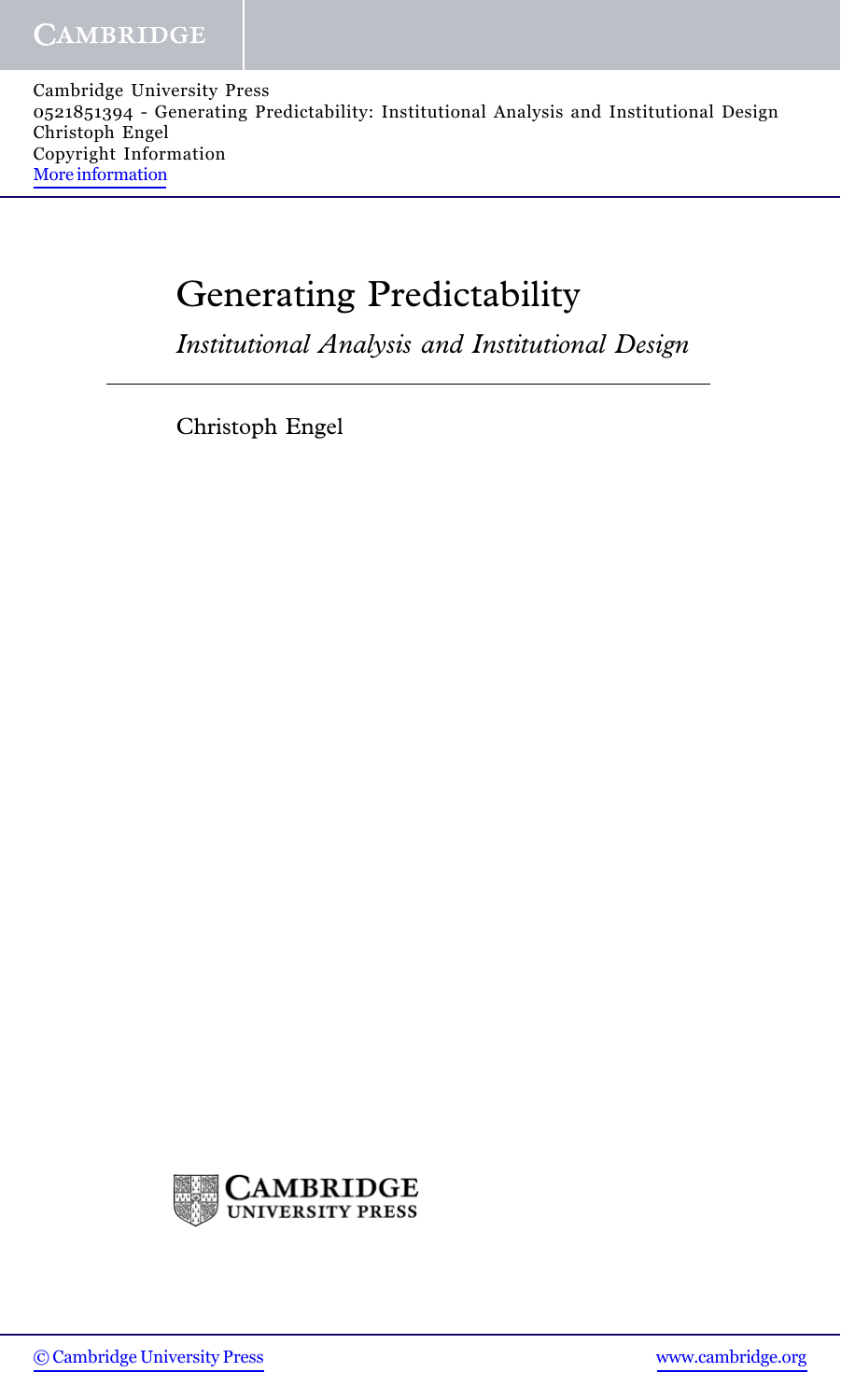Cambridge University Press 0521851394 - Generating Predictability: Institutional Analysis and Institutional Design Christoph Engel Copyright Information [More information](http://www.cambridge.org/0521851394)

## Generating Predictability

Institutional Analysis and Institutional Design

Christoph Engel